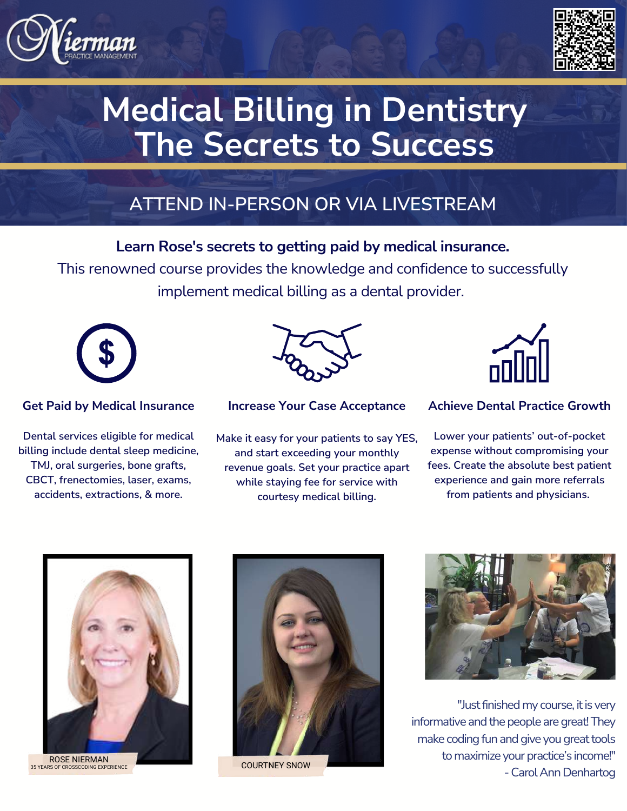



# **Medical Billing in Dentistry The Secrets to Success**

## **ATTEND IN-PERSON OR VIA LIVESTREAM**

### **Learn Rose's secrets to getting paid by medical insurance.**

This renowned course provides the knowledge and confidence to successfully implement medical billing as a dental provider.



#### **Get Paid by Medical Insurance**

**Dental services eligible for medical billing include dental sleep medicine, TMJ, oral surgeries, bone grafts, CBCT, frenectomies, laser, exams, accidents, extractions, & more.**



**Increase Your Case Acceptance**

**Make it easy for your patients to say YES, and start exceeding your monthly revenue goals. Set your practice apart while staying fee for service with courtesy medical billing.**



#### **Achieve Dental Practice Growth**

**Lower your patients' out-of-pocket expense without compromising your fees. Create the absolute best patient experience and gain more referrals from patients and physicians.**



ROSE NIERMAN COURTNEY SNOW 35 YEARS OF CROSSCODING EXPERIENCE





"Just finished my course, it is very informative and the people are great! They make coding fun and give you great tools to maximize your practice's income!" - Carol Ann Denhartog